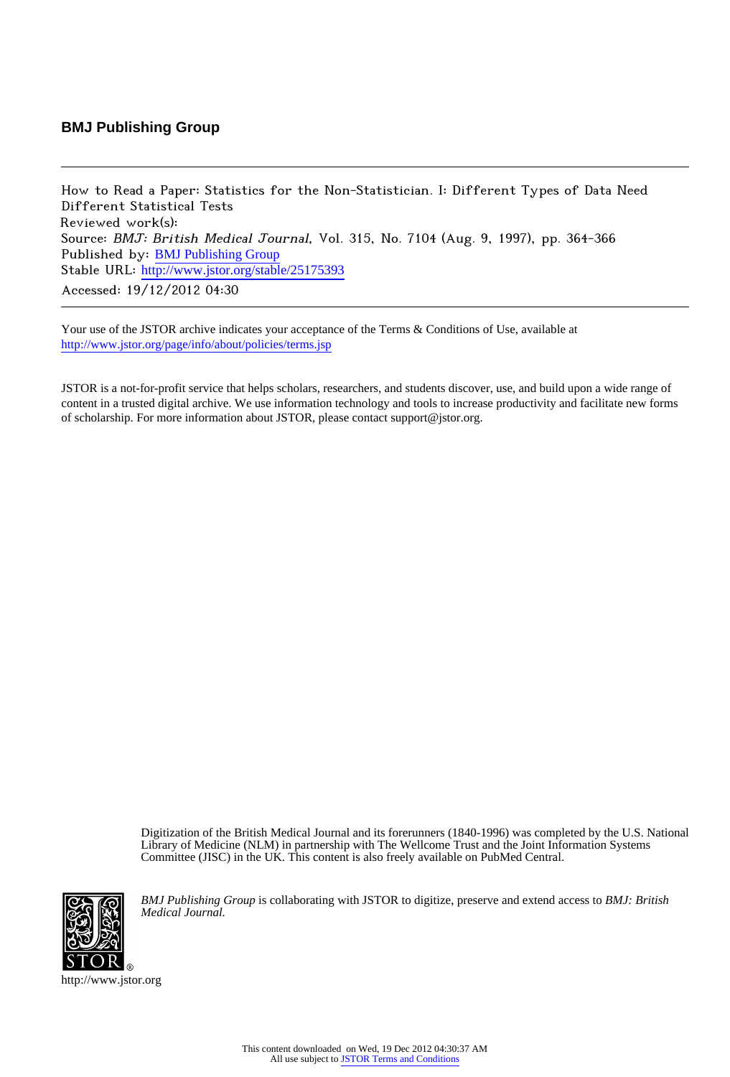## **BMJ Publishing Group**

How to Read a Paper: Statistics for the Non-Statistician. I: Different Types of Data Need Different Statistical Tests Reviewed work(s): Source: BMJ: British Medical Journal, Vol. 315, No. 7104 (Aug. 9, 1997), pp. 364-366 Published by: [BMJ Publishing Group](http://www.jstor.org/action/showPublisher?publisherCode=bmj) Stable URL: http://www.jstor.org/stable/25175393 Accessed: 19/12/2012 04:30

Your use of the JSTOR archive indicates your acceptance of the Terms & Conditions of Use, available at <http://www.jstor.org/page/info/about/policies/terms.jsp>

JSTOR is a not-for-profit service that helps scholars, researchers, and students discover, use, and build upon a wide range of content in a trusted digital archive. We use information technology and tools to increase productivity and facilitate new forms of scholarship. For more information about JSTOR, please contact support@jstor.org.

> Digitization of the British Medical Journal and its forerunners (1840-1996) was completed by the U.S. National Library of Medicine (NLM) in partnership with The Wellcome Trust and the Joint Information Systems Committee (JISC) in the UK. This content is also freely available on PubMed Central.



*BMJ Publishing Group* is collaborating with JSTOR to digitize, preserve and extend access to *BMJ: British Medical Journal.*

http://www.jstor.org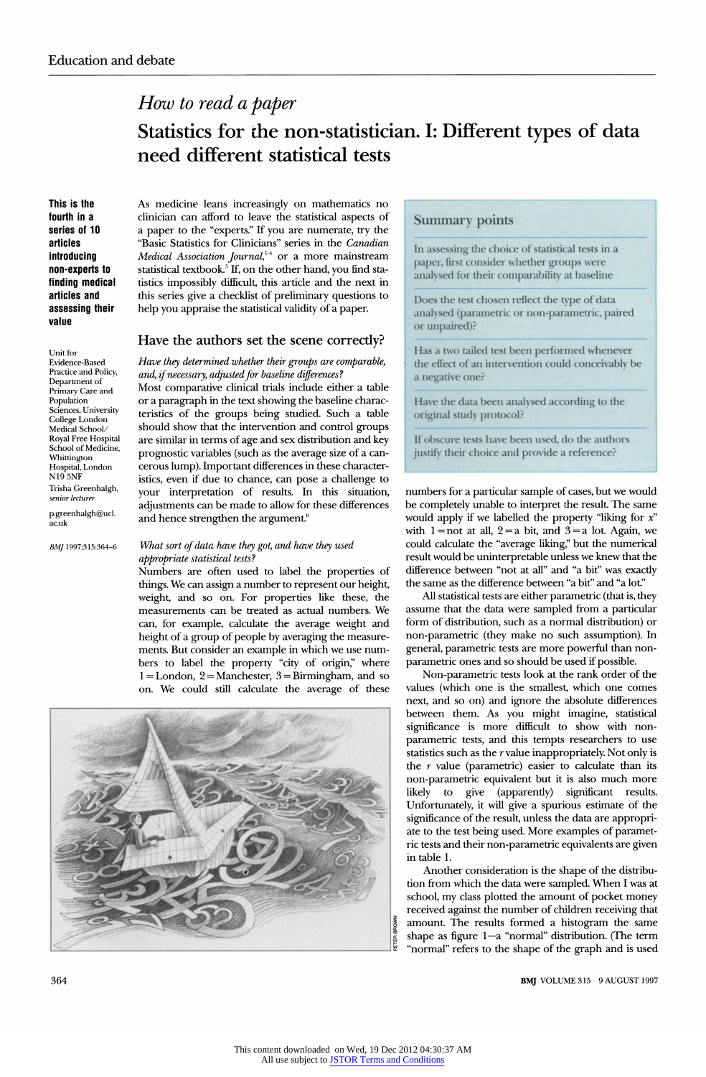# **How to read a paper**

# **Statistics for the non-statistician. I: Different types of data need different statistical tests**

**This is the fourth in a series of 10 articles introducing non-experts to finding medical articles and assessing their value** 

**As medicine leans increasingly on mathematics no clinician can afford to leave the statistical aspects of a paper to the experts. if you are numerate, try the Basic Statistics for Clinicians Series in the Canadian** *Mearcal Association Journal*, or a more mainstream *c* **statistical textbook.5 If, on the other hand, you find sta tistics impossibly difficult, this article and the next in this series give a checklist of preliminary questions to help you appraise the statistical validity of a paper.** 

## **Have the authors set the scene correctly?**

#### **Have they determined whether their groups**  Have they determined whether their groups are comparable,

**and, if necessary, adjusted for baseline differences'? Most comparative clinical trials include either a table or a paragraph in the text showing the baseline charac teristics of the groups being studied. Such a table should show that the intervention and control groups are similar in terms of age and sex distribution and key prognostic variables (such as the average size of a can cerous lump). Important differences in these character istics, even if due to chance, can pose a challenge to pose your interpretation of results. In this situation, adjustments can be made to allow for these differences**  and hence strengthen the argument.<sup>6</sup>

## **What sort of data have they got, and have they used appropriate statistical tests?**

**Numbers are often used to label the properties of things. We can assign a number to represent our height, weight, and so on. For properties like these, the measurements can be treated as actual numbers. We can, for example, calculate the average weight and height of a group of people by averaging the measure ments. But consider an example in which we use num bers to label the property "city of origin," where 1 = London, 2 = Manchester, 3 = Birmingham, and so on. We could still calculate the average of these** 



## **Summary points**

**In assessing the choice of statistical tests in a**  paper, **first consider whether groups** we **analysed for their comparability at baseline** 

**Does the test chosen reflect the type of data analysed (parametric or non-parametric, paired or unpaired)?** 

**Has a two tailed test been performed whenever the effect of an intervention could conceivably be a negative one?** 

**Have the data been analysed according to the original study protocol?** 

**If obscure tests have been used, do the authors justify their choice and provide a reference?** 

**numbers for a particular sample of cases, but we would be completely unable to interpret the result The same would apply if we labelled the property "liking for x"**  with  $1 = not$  at all,  $2 = a$  bit, and  $3 = a$  lot. Again, we **could calculate the "average liking," but the numerical result would be uninterpretable unless we knew that the difference between "not at all" and "a bit" was exactly the same as the difference between "a bit" and "a lot"** 

**All statistical tests are either parametric (that is, they assume that the data were sampled from a particular form of distribution, such as a normal distribution) or non-parametric (they make no such assumption). In general, parametric tests are more powerful than non parametric ones and so should be used if possible.** 

**Non-parametric tests look at the rank order of the values (which one is the smallest, which one comes next, and so on) and ignore the absolute differences between them. As you might imagine, statistical significance is more difficult to show with non parametric tests, and this tempts researchers to use statistics such as the r value inappropriately. Not only is the r value (parametric) easier to calculate than its non-parametric equivalent but it is also much more likely to give (apparently) significant results. Unfortunately, it will give a spurious estimate of the significance of the result, unless the data are appropri ate to the test being used. More examples of paramet ric tests and their non-parametric equivalents are given in table 1.** 

**Another consideration is the shape of the distribu tion from which the data were sampled. When I was at school, my class plotted the amount of pocket money received against the number of children receiving that amount The results formed a histogram the same**  shape as figure 1-a "normal" distribution. (The term **"normal" refers to the shape of the graph and is used** 

**364 BMJ VOLUME 315 9 AUGUST 1997** 

**Unit for Evidence Based**<br>**Practice and Policy**, **Department** of **Department of Primary Care and Population Sciences, University College London Medical School/ Royal Free Hospital SCHOOL OF MEDICIE Whittington Hospital, London N19 5NF Trisha Greenhalgh, senior lecturer** 

**p.greenhalgh@ucl. ac.uk** 

**BMJ 1997;315:364-6**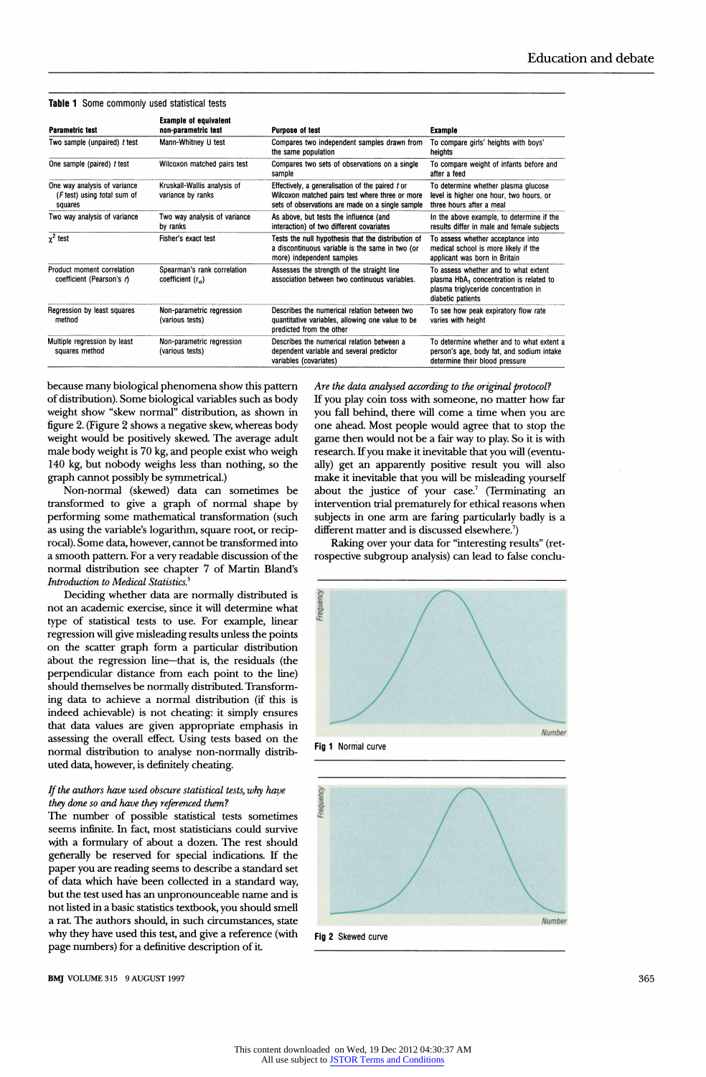| <b>Parametric test</b>                                                 | <b>Example of equivalent</b><br>non-parametric test       | Purpose of test                                                                                                                                         | Example                                                                                                                                                  |
|------------------------------------------------------------------------|-----------------------------------------------------------|---------------------------------------------------------------------------------------------------------------------------------------------------------|----------------------------------------------------------------------------------------------------------------------------------------------------------|
| Two sample (unpaired) t test                                           | Mann-Whitney U test                                       | Compares two independent samples drawn from<br>the same population                                                                                      | To compare girls' heights with boys'<br>heights                                                                                                          |
| One sample (paired) t test                                             | Wilcoxon matched pairs test                               | Compares two sets of observations on a single<br>sample                                                                                                 | To compare weight of infants before and<br>after a feed                                                                                                  |
| One way analysis of variance<br>(F test) using total sum of<br>squares | Kruskall-Wallis analysis of<br>variance by ranks          | Effectively, a generalisation of the paired t or<br>Wilcoxon matched pairs test where three or more<br>sets of observations are made on a single sample | To determine whether plasma glucose<br>level is higher one hour, two hours, or<br>three hours after a meal                                               |
| Two way analysis of variance                                           | Two way analysis of variance<br>by ranks                  | As above, but tests the influence (and<br>interaction) of two different covariates                                                                      | In the above example, to determine if the<br>results differ in male and female subjects                                                                  |
| $\gamma^2$ test                                                        | Fisher's exact test                                       | Tests the null hypothesis that the distribution of<br>a discontinuous variable is the same in two (or<br>more) independent samples                      | To assess whether acceptance into<br>medical school is more likely if the<br>applicant was born in Britain                                               |
| Product moment correlation<br>coefficient (Pearson's r)                | Spearman's rank correlation<br>coefficient $(r_{\alpha})$ | Assesses the strength of the straight line<br>association between two continuous variables.                                                             | To assess whether and to what extent<br>plasma HbA <sub>1</sub> concentration is related to<br>plasma triglyceride concentration in<br>diabetic patients |
| Regression by least squares<br>method                                  | Non-parametric regression<br>(various tests)              | Describes the numerical relation between two<br>quantitative variables, allowing one value to be<br>predicted from the other                            | To see how peak expiratory flow rate<br>varies with height                                                                                               |
| Multiple regression by least<br>squares method                         | Non-parametric regression<br>(various tests)              | Describes the numerical relation between a<br>dependent variable and several predictor<br>variables (covariates)                                        | To determine whether and to what extent a<br>person's age, body fat, and sodium intake<br>determine their blood pressure                                 |

**Table 1 Some commonly used statistical tests** 

**because many biological phenomena show this pattern of distribution). Some biological variables such as body weight show "skew normal" distribution, as shown in figure 2. (Figure 2 shows a negative skew, whereas body weight would be positively skewed. The average adult male body weight is 70 kg, and people exist who weigh 140 kg, but nobody weighs less than nothing, so the graph cannot possibly be symmetrical.)** 

**Non-normal (skewed) data can sometimes be transformed to give a graph of normal shape by performing some mathematical transformation (such as using the variable's logarithm, square root, or recip rocal). Some data, however, cannot be transformed into a smooth pattern. For a very readable discussion of the normal distribution see chapter 7 of Martin Bland's Introduction to Medical Statistics.5** 

**Deciding whether data are normally distributed is not an academic exercise, since it will determine what type of statistical tests to use. For example, linear regression will give misleading results unless the points on the scatter graph form a particular distribution**  about the regression line-that is, the residuals (the **perpendicular distance from each point to the line) should themselves be normally distributed. Transform ing data to achieve a normal distribution (if this is indeed achievable) is not cheating: it simply ensures that data values are given appropriate emphasis in assessing the overall effect Using tests based on the normal distribution to analyse non-normally distrib uted data, however, is definitely cheating.** 

### **If the authors have used obscure statistical tests, why have they done so and have they referenced them?**

**The number of possible statistical tests sometimes seems infinite. In fact, most statisticians could survive with a formulary of about a dozen. The rest should generally be reserved for special indications. If the paper you are reading seems to describe a standard set of data which have been collected in a standard way, but the test used has an unpronounceable name and is not listed in a basic statistics textbook, you should smell a rat The authors should, in such circumstances, state why they have used this test, and give a reference (with page numbers) for a definitive description of it** 

**BMJ** VOLUME 315 9 AUGUST 1997

**Are the data analysed according to the original protocol? If you play coin toss with someone, no matter how far you fall behind, there will come a time when you are one ahead. Most people would agree that to stop the game then would not be a fair way to play. So it is with research. If you make it inevitable that you will (eventu ally) get an apparently positive result you will also make it inevitable that you will be misleading yourself about the justice of your case.7 (Terminating an intervention trial prematurely for ethical reasons when subjects in one arm are faring particularly badly is a different matter and is discussed elsewhere.7)** 

**Raking over your data for "interesting results" (re rospective subgroup analysis) can lead to false conclu** 







**Fig 2 Skewed curve**